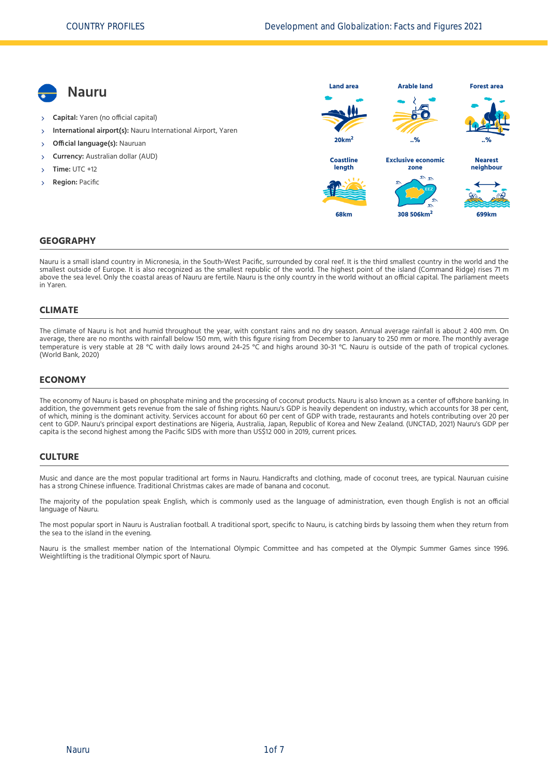

#### **GEOGRAPHY**

Nauru is a small island country in Micronesia, in the South-West Pacific, surrounded by coral reef. It is the third smallest country in the world and the smallest outside of Europe. It is also recognized as the smallest republic of the world. The highest point of the island (Command Ridge) rises 71 m above the sea level. Only the coastal areas of Nauru are fertile. Nauru is the only country in the world without an official capital. The parliament meets in Yaren.

#### **CLIMATE**

The climate of Nauru is hot and humid throughout the year, with constant rains and no dry season. Annual average rainfall is about 2 400 mm. On average, there are no months with rainfall below 150 mm, with this figure rising from December to January to 250 mm or more. The monthly average temperature is very stable at 28 °C with daily lows around 24‐25 °C and highs around 30‐31 °C. Nauru is outside of the path of tropical cyclones. [\(World Bank, 2020\)](#page-6-0)

#### **ECONOMY**

The economy of Nauru is based on phosphate mining and the processing of coconut products. Nauru is also known as a center of offshore banking. In addition, the government gets revenue from the sale of fishing rights. Nauru's GDP is heavily dependent on industry, which accounts for 38 per cent, of which, mining is the dominant activity. Services account for about 60 per cent of GDP with trade, restaurants and hotels contributing over 20 per cent to GDP. Nauru's principal export destinations are Nigeria, Australia, Japan, Republic of Korea and New Zealand. [\(UNCTAD, 2021\)](#page-6-1) Nauru's GDP per capita is the second highest among the Pacific SIDS with more than US\$12 000 in 2019, current prices.

#### **CULTURE**

Music and dance are the most popular traditional art forms in Nauru. Handicrafts and clothing, made of coconut trees, are typical. Nauruan cuisine has a strong Chinese influence. Traditional Christmas cakes are made of banana and coconut.

The majority of the population speak English, which is commonly used as the language of administration, even though English is not an official language of Nauru.

The most popular sport in Nauru is Australian football. A traditional sport, specific to Nauru, is catching birds by lassoing them when they return from the sea to the island in the evening.

Nauru is the smallest member nation of the International Olympic Committee and has competed at the Olympic Summer Games since 1996. Weightlifting is the traditional Olympic sport of Nauru.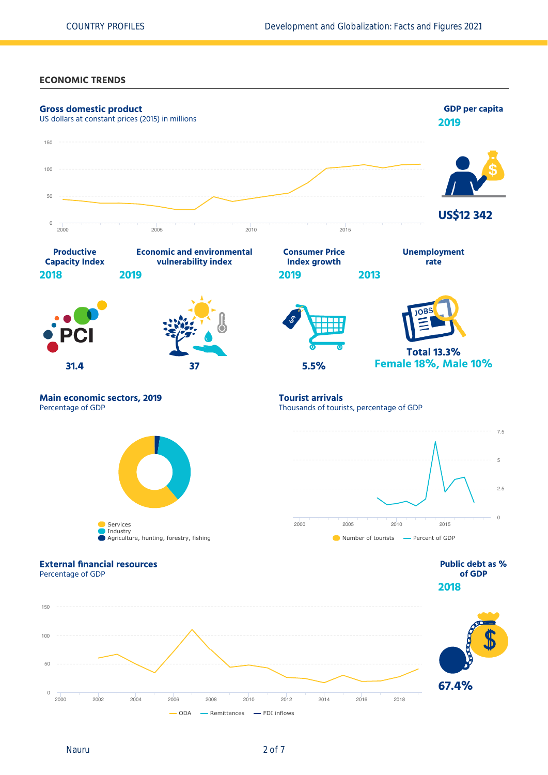**ECONOMIC TRENDS**

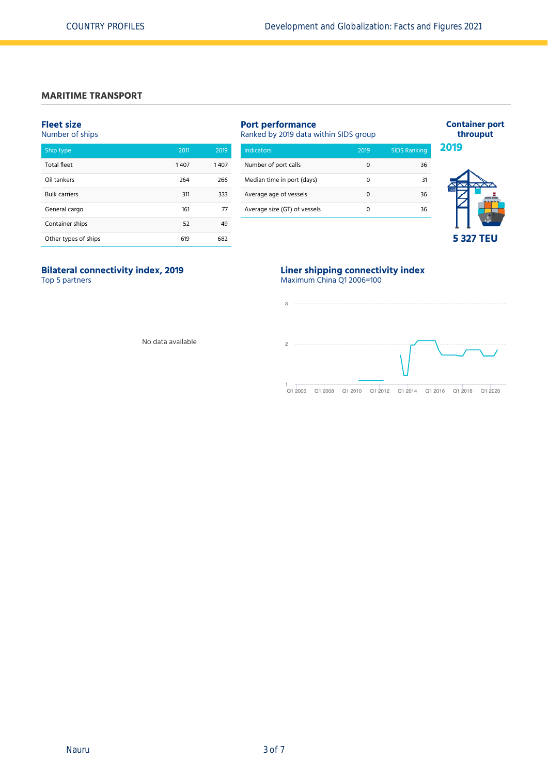### **MARITIME TRANSPORT**

#### **Fleet size**

Number of ships

| Ship type            | 2011 | 2019 |
|----------------------|------|------|
| <b>Total fleet</b>   | 1407 | 1407 |
| Oil tankers          | 264  | 266  |
| <b>Bulk carriers</b> | 311  | 333  |
| General cargo        | 161  | 77   |
| Container ships      | 52   | 49   |
| Other types of ships | 619  | 682  |

# **Port performance**

| Ranked by 2019 data within SIDS group |      |                     |  |  |
|---------------------------------------|------|---------------------|--|--|
| <b>Indicators</b>                     | 2019 | <b>SIDS Ranking</b> |  |  |
| Number of port calls                  | Ω    | 36                  |  |  |
| Median time in port (days)            | Ω    | 31                  |  |  |
| Average age of vessels                | 0    | 36                  |  |  |

Average size (GT) of vessels 0 36



**Container port throuput**

# **5 327 TEU**

# **Bilateral connectivity index, 2019**

Top 5 partners

#### **Liner shipping connectivity index** Maximum China Q1 2006=100



No data available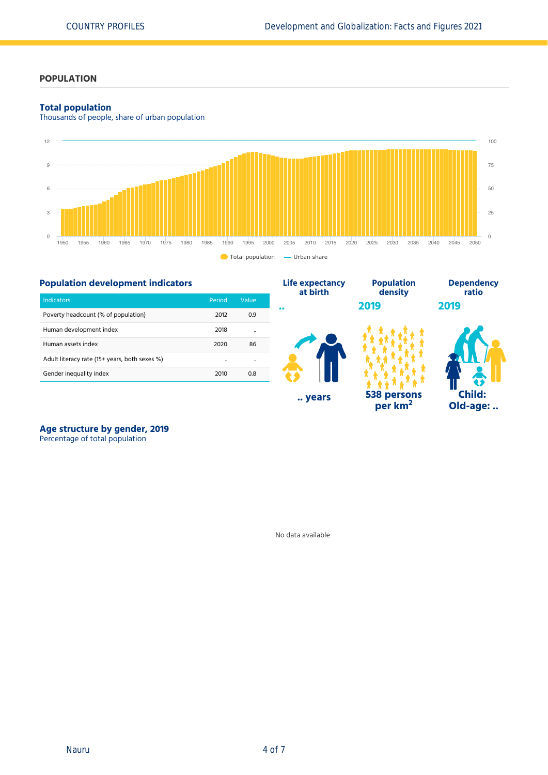**Population**

**Dependency ratio**

**Child: Old-age: ..**

**2019**

**per km<sup>2</sup>**

## **POPULATION**

### **Total population**

Thousands of people, share of urban population



## **Population development indicators**

|                                               |                      |                      | at birth   | density            |
|-----------------------------------------------|----------------------|----------------------|------------|--------------------|
| <b>Indicators</b>                             | Period               | Value                |            | 2019               |
| Poverty headcount (% of population)           | 2012                 | 0.9                  | $^{\circ}$ |                    |
| Human development index                       | 2018                 | $\ddot{\phantom{a}}$ |            |                    |
| Human assets index                            | 2020                 | 86                   |            |                    |
| Adult literacy rate (15+ years, both sexes %) | $\ddot{\phantom{a}}$ |                      |            |                    |
| Gender inequality index                       | 2010                 | 0.8                  |            |                    |
|                                               |                      |                      | years      | <b>538 persons</b> |



Percentage of total population

No data available

**Life expectancy**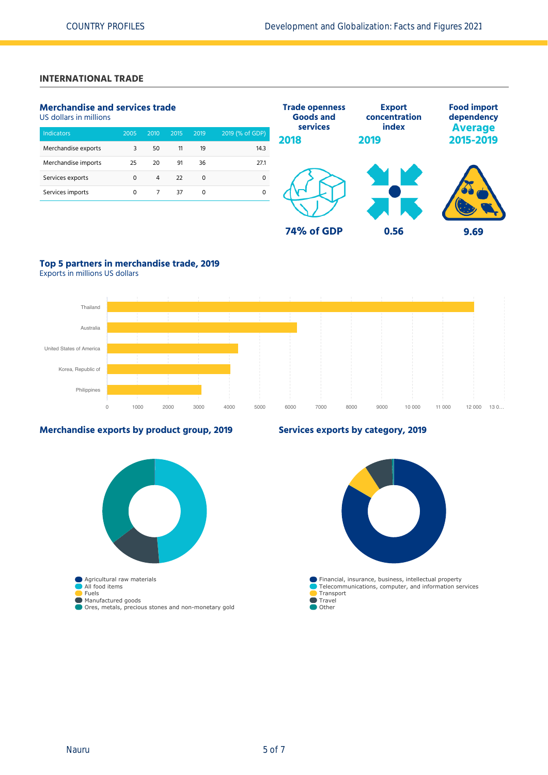## **INTERNATIONAL TRADE**

## **Merchandise and services trade**

US dollars in millions

| <b>Indicators</b>   | 2005 | 2010 | 2015 | 2019 | 2019 (% of GDP) |
|---------------------|------|------|------|------|-----------------|
| Merchandise exports | 3    | 50   | 11   | 19   | 14.3            |
| Merchandise imports | 25   | 20   | 91   | 36   | 27.1            |
| Services exports    | 0    | 4    | 22   | 0    | Ω               |
| Services imports    | 0    |      | 37   | 0    |                 |



# **Top 5 partners in merchandise trade, 2019**

Exports in millions US dollars



### **Merchandise exports by product group, 2019**



## **Services exports by category, 2019**

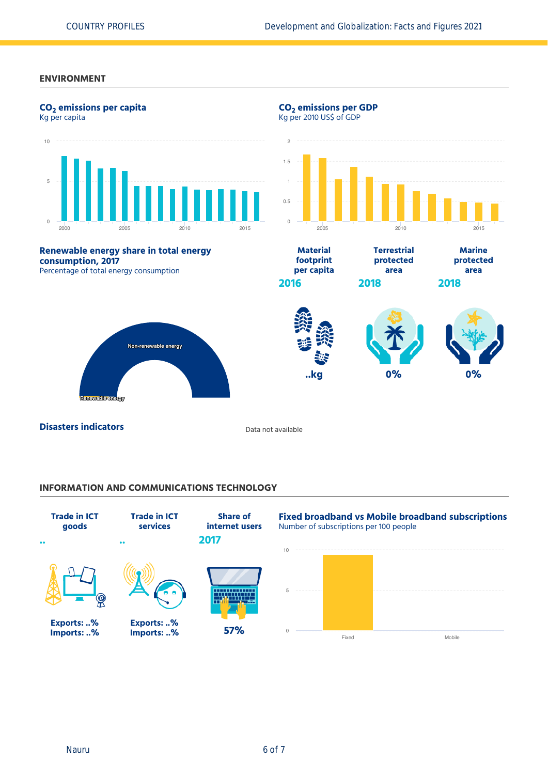## **ENVIRONMENT**



#### **INFORMATION AND COMMUNICATIONS TECHNOLOGY**